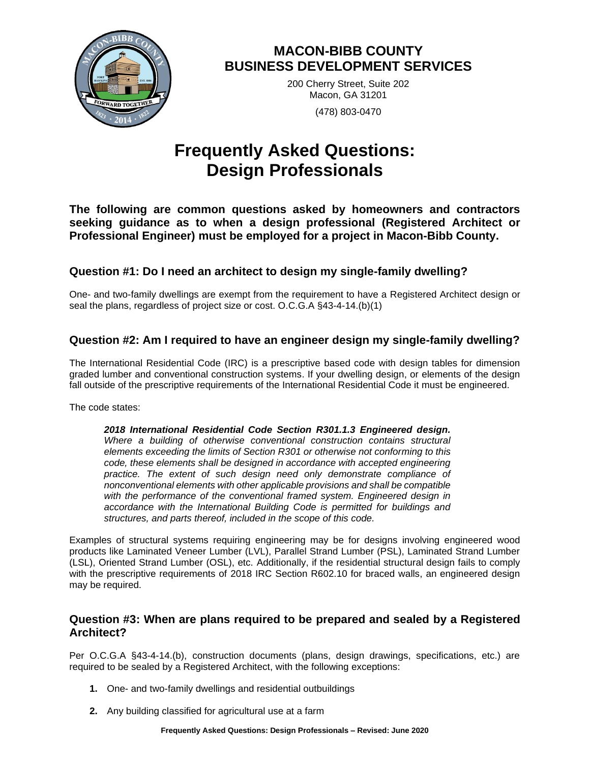

# **MACON-BIBB COUNTY BUSINESS DEVELOPMENT SERVICES**

200 Cherry Street, Suite 202 Macon, GA 31201 (478) 803-0470

# **Frequently Asked Questions: Design Professionals**

**The following are common questions asked by homeowners and contractors seeking guidance as to when a design professional (Registered Architect or Professional Engineer) must be employed for a project in Macon-Bibb County.**

# **Question #1: Do I need an architect to design my single-family dwelling?**

One- and two-family dwellings are exempt from the requirement to have a Registered Architect design or seal the plans, regardless of project size or cost. O.C.G.A §43-4-14.(b)(1)

# **Question #2: Am I required to have an engineer design my single-family dwelling?**

The International Residential Code (IRC) is a prescriptive based code with design tables for dimension graded lumber and conventional construction systems. If your dwelling design, or elements of the design fall outside of the prescriptive requirements of the International Residential Code it must be engineered.

The code states:

*2018 International Residential Code Section R301.1.3 Engineered design. Where a building of otherwise conventional construction contains structural elements exceeding the limits of Section R301 or otherwise not conforming to this code, these elements shall be designed in accordance with accepted engineering*  practice. The extent of such design need only demonstrate compliance of *nonconventional elements with other applicable provisions and shall be compatible with the performance of the conventional framed system. Engineered design in accordance with the International Building Code is permitted for buildings and structures, and parts thereof, included in the scope of this code.*

Examples of structural systems requiring engineering may be for designs involving engineered wood products like Laminated Veneer Lumber (LVL), Parallel Strand Lumber (PSL), Laminated Strand Lumber (LSL), Oriented Strand Lumber (OSL), etc. Additionally, if the residential structural design fails to comply with the prescriptive requirements of 2018 IRC Section R602.10 for braced walls, an engineered design may be required.

#### **Question #3: When are plans required to be prepared and sealed by a Registered Architect?**

Per O.C.G.A §43-4-14.(b), construction documents (plans, design drawings, specifications, etc.) are required to be sealed by a Registered Architect, with the following exceptions:

- **1.** One- and two-family dwellings and residential outbuildings
- **2.** Any building classified for agricultural use at a farm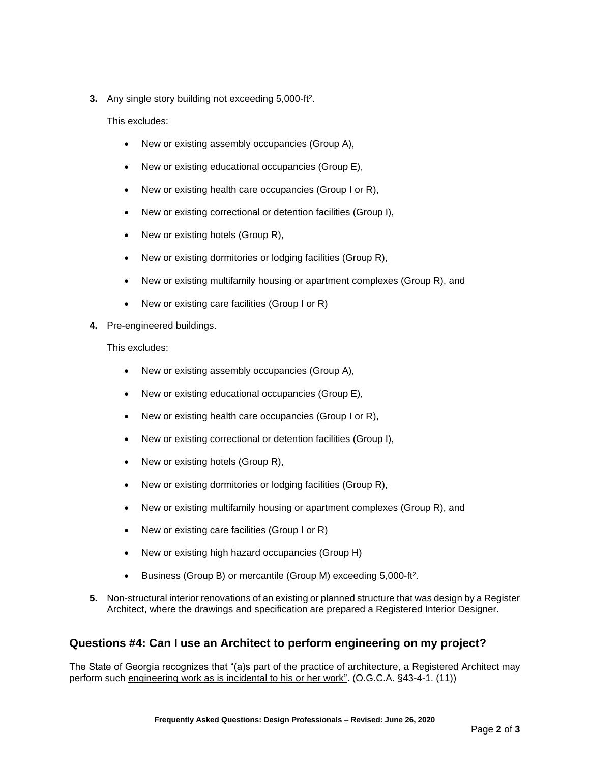**3.** Any single story building not exceeding 5,000-ft<sup>2</sup>.

This excludes:

- New or existing assembly occupancies (Group A),
- New or existing educational occupancies (Group E),
- New or existing health care occupancies (Group I or R),
- New or existing correctional or detention facilities (Group I),
- New or existing hotels (Group R),
- New or existing dormitories or lodging facilities (Group R),
- New or existing multifamily housing or apartment complexes (Group R), and
- New or existing care facilities (Group I or R)
- **4.** Pre-engineered buildings.

This excludes:

- New or existing assembly occupancies (Group A),
- New or existing educational occupancies (Group E),
- New or existing health care occupancies (Group I or R),
- New or existing correctional or detention facilities (Group I),
- New or existing hotels (Group R),
- New or existing dormitories or lodging facilities (Group R),
- New or existing multifamily housing or apartment complexes (Group R), and
- New or existing care facilities (Group I or R)
- New or existing high hazard occupancies (Group H)
- Business (Group B) or mercantile (Group M) exceeding 5,000-ft<sup>2</sup> .
- **5.** Non-structural interior renovations of an existing or planned structure that was design by a Register Architect, where the drawings and specification are prepared a Registered Interior Designer.

# **Questions #4: Can I use an Architect to perform engineering on my project?**

The State of Georgia recognizes that "(a)s part of the practice of architecture, a Registered Architect may perform such engineering work as is incidental to his or her work". (O.G.C.A. §43-4-1. (11))